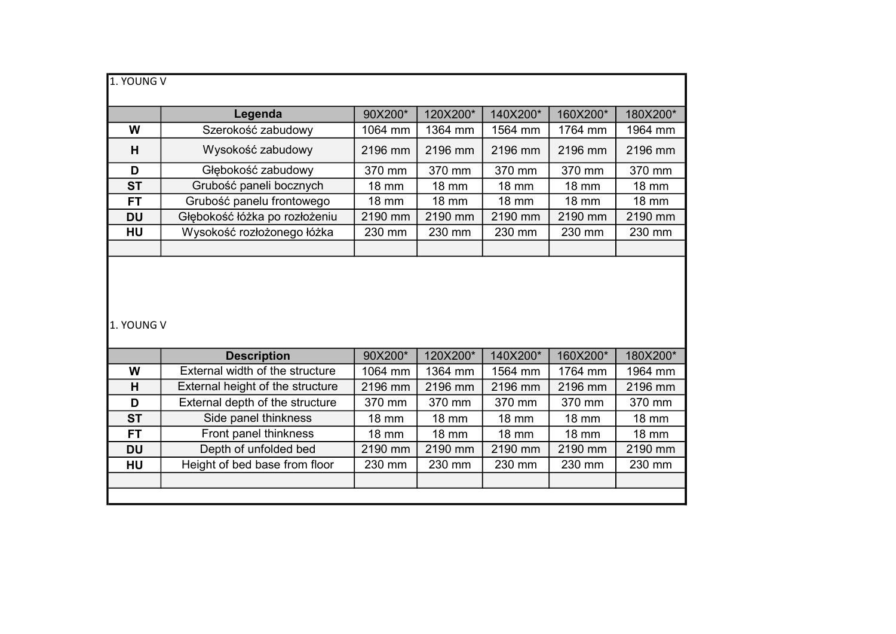| 1. YOUNG V |                                  |              |              |              |              |              |  |
|------------|----------------------------------|--------------|--------------|--------------|--------------|--------------|--|
|            | Legenda                          | 90X200*      | 120X200*     | 140X200*     | 160X200*     | 180X200*     |  |
| W          | Szerokość zabudowy               | 1064 mm      | 1364 mm      | 1564 mm      | 1764 mm      | 1964 mm      |  |
| H          | Wysokość zabudowy                | 2196 mm      | 2196 mm      | 2196 mm      | 2196 mm      | 2196 mm      |  |
| D          | Głębokość zabudowy               | 370 mm       | 370 mm       | 370 mm       | 370 mm       | 370 mm       |  |
| <b>ST</b>  | Grubość paneli bocznych          | <b>18 mm</b> | <b>18 mm</b> | <b>18 mm</b> | <b>18 mm</b> | <b>18 mm</b> |  |
| <b>FT</b>  | Grubość panelu frontowego        | <b>18 mm</b> | <b>18 mm</b> | <b>18 mm</b> | <b>18 mm</b> | <b>18 mm</b> |  |
| <b>DU</b>  | Głębokość łóżka po rozłożeniu    | 2190 mm      | 2190 mm      | 2190 mm      | 2190 mm      | 2190 mm      |  |
| HU         | Wysokość rozłożonego łóżka       | 230 mm       | 230 mm       | 230 mm       | 230 mm       | 230 mm       |  |
|            |                                  |              |              |              |              |              |  |
|            |                                  |              |              |              |              |              |  |
| 1. YOUNG V |                                  |              |              |              |              |              |  |
|            | <b>Description</b>               | 90X200*      | 120X200*     | 140X200*     | 160X200*     | 180X200*     |  |
| W          | External width of the structure  | 1064 mm      | 1364 mm      | 1564 mm      | 1764 mm      | 1964 mm      |  |
| H          | External height of the structure | 2196 mm      | 2196 mm      | 2196 mm      | 2196 mm      | 2196 mm      |  |
| D          | External depth of the structure  | 370 mm       | 370 mm       | 370 mm       | 370 mm       | 370 mm       |  |
| <b>ST</b>  | Side panel thinkness             | <b>18 mm</b> | <b>18 mm</b> | <b>18 mm</b> | <b>18 mm</b> | <b>18 mm</b> |  |
| <b>FT</b>  | Front panel thinkness            | <b>18 mm</b> | <b>18 mm</b> | <b>18 mm</b> | <b>18 mm</b> | <b>18 mm</b> |  |
| <b>DU</b>  | Depth of unfolded bed            | 2190 mm      | 2190 mm      | 2190 mm      | 2190 mm      | 2190 mm      |  |
| HU         | Height of bed base from floor    | 230 mm       | 230 mm       | 230 mm       | 230 mm       | 230 mm       |  |
|            |                                  |              |              |              |              |              |  |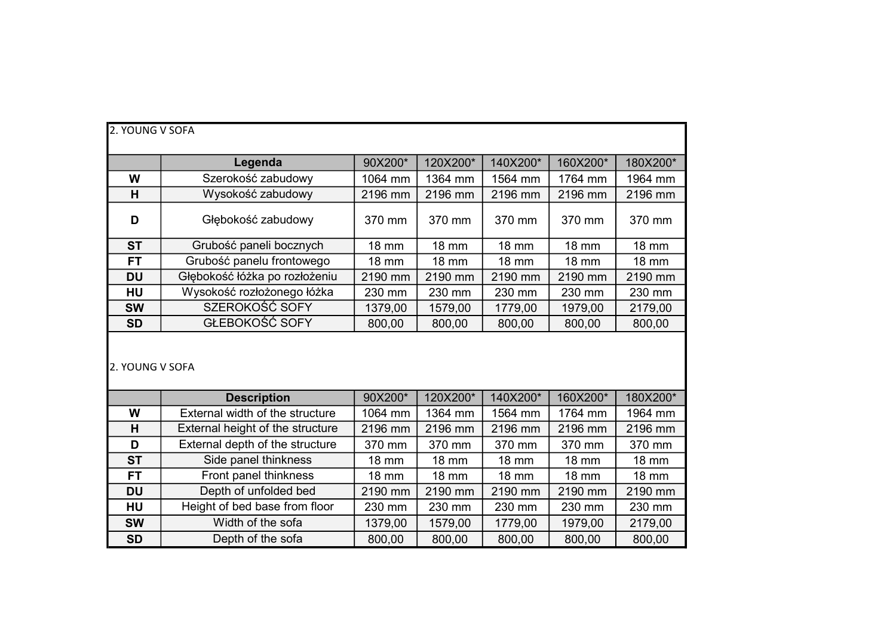| 2. YOUNG V SOFA |                                  |              |              |              |              |              |  |
|-----------------|----------------------------------|--------------|--------------|--------------|--------------|--------------|--|
|                 | Legenda                          | 90X200*      | 120X200*     | 140X200*     | 160X200*     | 180X200*     |  |
| W               | Szerokość zabudowy               | 1064 mm      | 1364 mm      | 1564 mm      | 1764 mm      | 1964 mm      |  |
| H               | Wysokość zabudowy                | 2196 mm      | 2196 mm      | 2196 mm      | 2196 mm      | 2196 mm      |  |
| D               | Głębokość zabudowy               | 370 mm       | 370 mm       | 370 mm       | 370 mm       | 370 mm       |  |
| <b>ST</b>       | Grubość paneli bocznych          | <b>18 mm</b> | <b>18 mm</b> | <b>18 mm</b> | <b>18 mm</b> | <b>18 mm</b> |  |
| <b>FT</b>       | Grubość panelu frontowego        | <b>18 mm</b> | <b>18 mm</b> | <b>18 mm</b> | <b>18 mm</b> | <b>18 mm</b> |  |
| <b>DU</b>       | Głębokość łóżka po rozłożeniu    | 2190 mm      | 2190 mm      | 2190 mm      | 2190 mm      | 2190 mm      |  |
| HU              | Wysokość rozłożonego łóżka       | 230 mm       | 230 mm       | 230 mm       | 230 mm       | 230 mm       |  |
| <b>SW</b>       | SZEROKOŚĆ SOFY                   | 1379,00      | 1579,00      | 1779,00      | 1979,00      | 2179,00      |  |
| <b>SD</b>       | GŁEBOKOŚĆ SOFY                   | 800,00       | 800,00       | 800,00       | 800,00       | 800,00       |  |
| 2. YOUNG V SOFA |                                  |              |              |              |              |              |  |
|                 |                                  |              |              |              |              |              |  |
|                 | <b>Description</b>               | 90X200*      | 120X200*     | 140X200*     | 160X200*     | 180X200*     |  |
| W               | External width of the structure  | 1064 mm      | 1364 mm      | 1564 mm      | 1764 mm      | 1964 mm      |  |
| H               | External height of the structure | 2196 mm      | 2196 mm      | 2196 mm      | 2196 mm      | 2196 mm      |  |
| D               | External depth of the structure  | 370 mm       | 370 mm       | 370 mm       | 370 mm       | 370 mm       |  |
| <b>ST</b>       | Side panel thinkness             | 18 mm        | <b>18 mm</b> | <b>18 mm</b> | <b>18 mm</b> | <b>18 mm</b> |  |
| <b>FT</b>       | Front panel thinkness            | <b>18 mm</b> | <b>18 mm</b> | <b>18 mm</b> | <b>18 mm</b> | <b>18 mm</b> |  |
| <b>DU</b>       | Depth of unfolded bed            | 2190 mm      | 2190 mm      | 2190 mm      | 2190 mm      | 2190 mm      |  |
| HU              | Height of bed base from floor    | 230 mm       | 230 mm       | 230 mm       | 230 mm       | 230 mm       |  |
| <b>SW</b>       | Width of the sofa                | 1379,00      | 1579,00      | 1779,00      | 1979,00      | 2179,00      |  |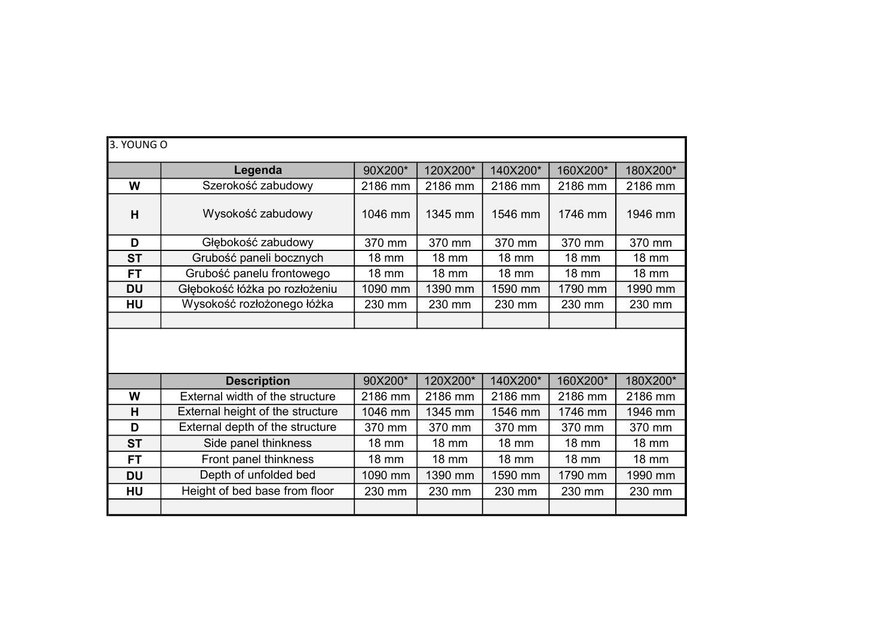| 3. YOUNG O |                                  |              |              |              |              |              |  |  |
|------------|----------------------------------|--------------|--------------|--------------|--------------|--------------|--|--|
|            | Legenda                          | 90X200*      | 120X200*     | 140X200*     | 160X200*     | 180X200*     |  |  |
| W          | Szerokość zabudowy               | 2186 mm      | 2186 mm      | 2186 mm      | 2186 mm      | 2186 mm      |  |  |
| H          | Wysokość zabudowy                | 1046 mm      | 1345 mm      | 1546 mm      | 1746 mm      | 1946 mm      |  |  |
| D          | Głębokość zabudowy               | 370 mm       | 370 mm       | 370 mm       | 370 mm       | 370 mm       |  |  |
| <b>ST</b>  | Grubość paneli bocznych          | <b>18 mm</b> | <b>18 mm</b> | 18 mm        | <b>18 mm</b> | <b>18 mm</b> |  |  |
| <b>FT</b>  | Grubość panelu frontowego        | <b>18 mm</b> | <b>18 mm</b> | <b>18 mm</b> | <b>18 mm</b> | <b>18 mm</b> |  |  |
| <b>DU</b>  | Głębokość łóżka po rozłożeniu    | 1090 mm      | 1390 mm      | 1590 mm      | 1790 mm      | 1990 mm      |  |  |
| <b>HU</b>  | Wysokość rozłożonego łóżka       | 230 mm       | 230 mm       | 230 mm       | 230 mm       | 230 mm       |  |  |
|            |                                  |              |              |              |              |              |  |  |
|            |                                  |              |              |              |              |              |  |  |
|            | <b>Description</b>               | 90X200*      | 120X200*     | 140X200*     | 160X200*     | 180X200*     |  |  |
| W          | External width of the structure  | 2186 mm      | 2186 mm      | 2186 mm      | 2186 mm      | 2186 mm      |  |  |
| H          | External height of the structure | 1046 mm      | 1345 mm      | 1546 mm      | 1746 mm      | 1946 mm      |  |  |
| D          | External depth of the structure  | 370 mm       | 370 mm       | 370 mm       | 370 mm       | 370 mm       |  |  |
| <b>ST</b>  | Side panel thinkness             | <b>18 mm</b> | <b>18 mm</b> | <b>18 mm</b> | <b>18 mm</b> | <b>18 mm</b> |  |  |
| <b>FT</b>  | Front panel thinkness            | <b>18 mm</b> | <b>18 mm</b> | <b>18 mm</b> | <b>18 mm</b> | <b>18 mm</b> |  |  |
| <b>DU</b>  | Depth of unfolded bed            | 1090 mm      | 1390 mm      | 1590 mm      | 1790 mm      | 1990 mm      |  |  |
| <b>HU</b>  | Height of bed base from floor    | 230 mm       | 230 mm       | 230 mm       | 230 mm       | 230 mm       |  |  |
|            |                                  |              |              |              |              |              |  |  |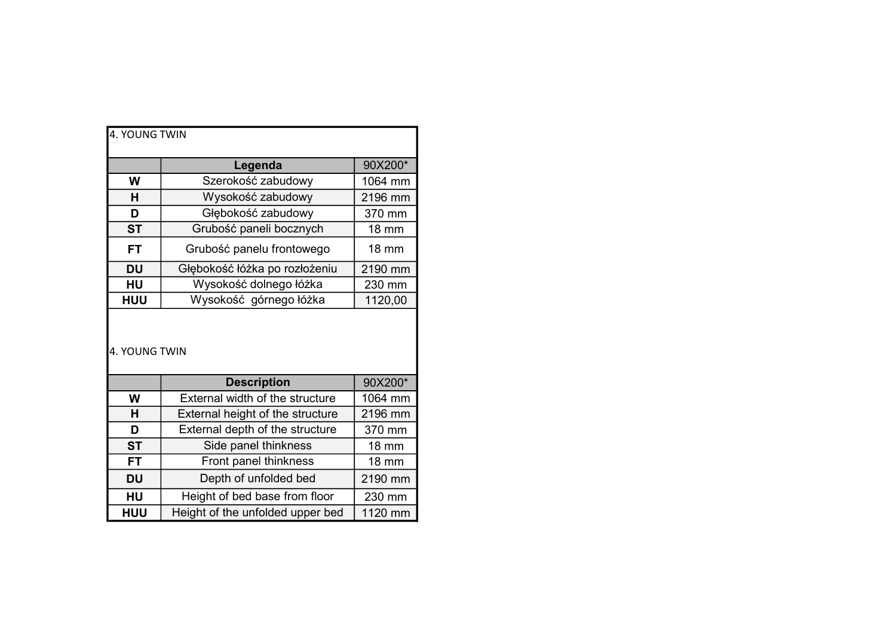|               |                                        | 4. YOUNG TWIN |  |  |  |  |  |  |
|---------------|----------------------------------------|---------------|--|--|--|--|--|--|
|               |                                        |               |  |  |  |  |  |  |
|               | Legenda                                | 90X200*       |  |  |  |  |  |  |
| W             | Szerokość zabudowy                     | 1064 mm       |  |  |  |  |  |  |
| н             | Wysokość zabudowy                      | 2196 mm       |  |  |  |  |  |  |
| D             | Głębokość zabudowy                     |               |  |  |  |  |  |  |
| <b>ST</b>     | Grubość paneli bocznych                |               |  |  |  |  |  |  |
| <b>FT</b>     | Grubość panelu frontowego              |               |  |  |  |  |  |  |
| <b>DU</b>     | Głębokość łóżka po rozłożeniu          |               |  |  |  |  |  |  |
| HU            | Wysokość dolnego łóżka                 | 230 mm        |  |  |  |  |  |  |
| <b>HUU</b>    | Wysokość górnego łóżka                 | 1120,00       |  |  |  |  |  |  |
| 4. YOUNG TWIN |                                        |               |  |  |  |  |  |  |
|               |                                        |               |  |  |  |  |  |  |
|               | <b>Description</b>                     | 90X200*       |  |  |  |  |  |  |
| W             | <b>External width of the structure</b> | 1064 mm       |  |  |  |  |  |  |
| н             | External height of the structure       | 2196 mm       |  |  |  |  |  |  |
| D             | External depth of the structure        | 370 mm        |  |  |  |  |  |  |
| <b>ST</b>     | Side panel thinkness                   | 18 mm         |  |  |  |  |  |  |
| <b>FT</b>     | Front panel thinkness                  | <b>18 mm</b>  |  |  |  |  |  |  |
| <b>DU</b>     | Depth of unfolded bed                  | 2190 mm       |  |  |  |  |  |  |
| HU            | Height of bed base from floor          | 230 mm        |  |  |  |  |  |  |